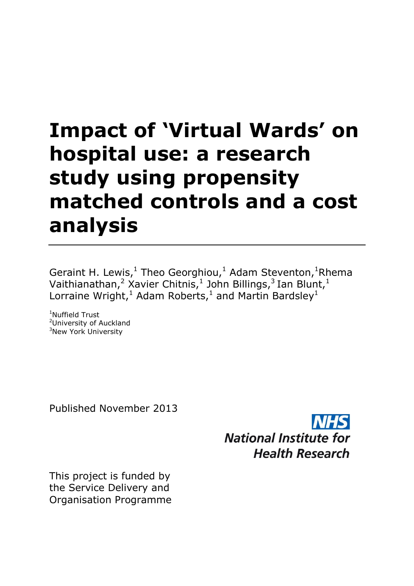# **Impact of 'Virtual Wards' on hospital use: a research study using propensity matched controls and a cost analysis**

Geraint H. Lewis, $^1$  Theo Georghiou, $^1$  Adam Steventon, $^1$ Rhema Vaithianathan,<sup>2</sup> Xavier Chitnis,<sup>1</sup> John Billings,<sup>3</sup> Ian Blunt,<sup>1</sup> Lorraine Wright,<sup>1</sup> Adam Roberts,<sup>1</sup> and Martin Bardsley<sup>1</sup>

<sup>1</sup>Nuffield Trust <sup>2</sup>University of Auckland <sup>3</sup>New York University

Published November 2013



This project is funded by the Service Delivery and Organisation Programme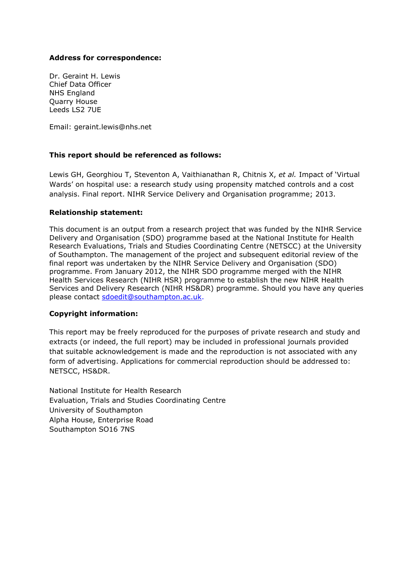### **Address for correspondence:**

Dr. Geraint H. Lewis Chief Data Officer NHS England Quarry House Leeds LS2 7UE

Email: geraint.lewis@nhs.net

### **This report should be referenced as follows:**

Lewis GH, Georghiou T, Steventon A, Vaithianathan R, Chitnis X, *et al.* Impact of 'Virtual Wards' on hospital use: a research study using propensity matched controls and a cost analysis. Final report. NIHR Service Delivery and Organisation programme; 2013.

### **Relationship statement:**

This document is an output from a research project that was funded by the NIHR Service Delivery and Organisation (SDO) programme based at the National Institute for Health Research Evaluations, Trials and Studies Coordinating Centre (NETSCC) at the University of Southampton. The management of the project and subsequent editorial review of the final report was undertaken by the NIHR Service Delivery and Organisation (SDO) programme. From January 2012, the NIHR SDO programme merged with the NIHR Health Services Research (NIHR HSR) programme to establish the new NIHR Health Services and Delivery Research (NIHR HS&DR) programme. Should you have any queries please contact [sdoedit@southampton.ac.uk.](mailto:sdoedit@southampton.ac.uk)

### **Copyright information:**

This report may be freely reproduced for the purposes of private research and study and extracts (or indeed, the full report) may be included in professional journals provided that suitable acknowledgement is made and the reproduction is not associated with any form of advertising. Applications for commercial reproduction should be addressed to: NETSCC, HS&DR.

National Institute for Health Research Evaluation, Trials and Studies Coordinating Centre University of Southampton Alpha House, Enterprise Road Southampton SO16 7NS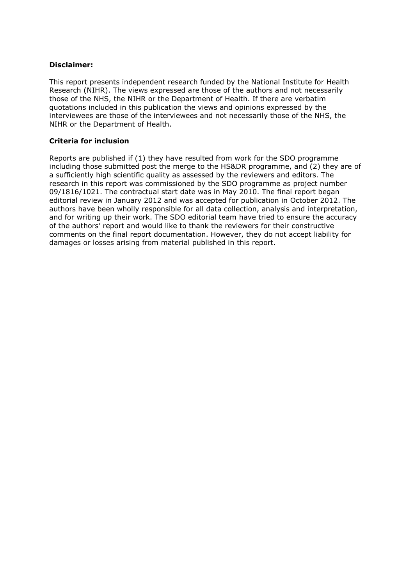### **Disclaimer:**

This report presents independent research funded by the National Institute for Health Research (NIHR). The views expressed are those of the authors and not necessarily those of the NHS, the NIHR or the Department of Health. If there are verbatim quotations included in this publication the views and opinions expressed by the interviewees are those of the interviewees and not necessarily those of the NHS, the NIHR or the Department of Health.

### **Criteria for inclusion**

Reports are published if (1) they have resulted from work for the SDO programme including those submitted post the merge to the HS&DR programme, and (2) they are of a sufficiently high scientific quality as assessed by the reviewers and editors. The research in this report was commissioned by the SDO programme as project number 09/1816/1021. The contractual start date was in May 2010. The final report began editorial review in January 2012 and was accepted for publication in October 2012. The authors have been wholly responsible for all data collection, analysis and interpretation, and for writing up their work. The SDO editorial team have tried to ensure the accuracy of the authors' report and would like to thank the reviewers for their constructive comments on the final report documentation. However, they do not accept liability for damages or losses arising from material published in this report.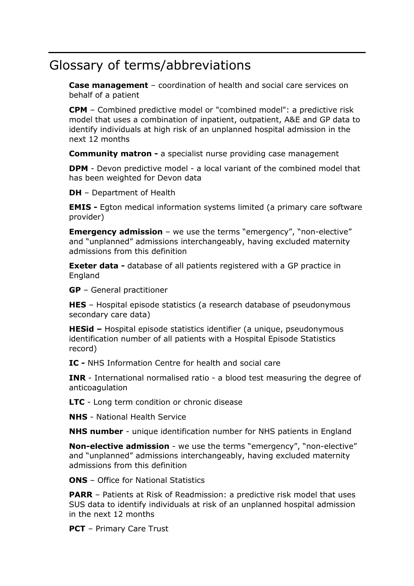# Glossary of terms/abbreviations

**Case management** – coordination of health and social care services on behalf of a patient

**CPM** – Combined predictive model or "combined model": a predictive risk model that uses a combination of inpatient, outpatient, A&E and GP data to identify individuals at high risk of an unplanned hospital admission in the next 12 months

**Community matron -** a specialist nurse providing case management

**DPM** - Devon predictive model - a local variant of the combined model that has been weighted for Devon data

**DH** – Department of Health

**EMIS -** Egton medical information systems limited (a primary care software provider)

**Emergency admission** – we use the terms "emergency", "non-elective" and "unplanned" admissions interchangeably, having excluded maternity admissions from this definition

**Exeter data** - database of all patients registered with a GP practice in England

**GP** – General practitioner

**HES** – Hospital episode statistics (a research database of pseudonymous secondary care data)

**HESid –** Hospital episode statistics identifier (a unique, pseudonymous identification number of all patients with a Hospital Episode Statistics record)

**IC -** NHS Information Centre for health and social care

**INR** - International normalised ratio - a blood test measuring the degree of anticoagulation

**LTC** - Long term condition or chronic disease

**NHS** - National Health Service

**NHS number** - unique identification number for NHS patients in England

**Non-elective admission** - we use the terms "emergency", "non-elective" and "unplanned" admissions interchangeably, having excluded maternity admissions from this definition

**ONS** – Office for National Statistics

**PARR** – Patients at Risk of Readmission: a predictive risk model that uses SUS data to identify individuals at risk of an unplanned hospital admission in the next 12 months

**PCT** – Primary Care Trust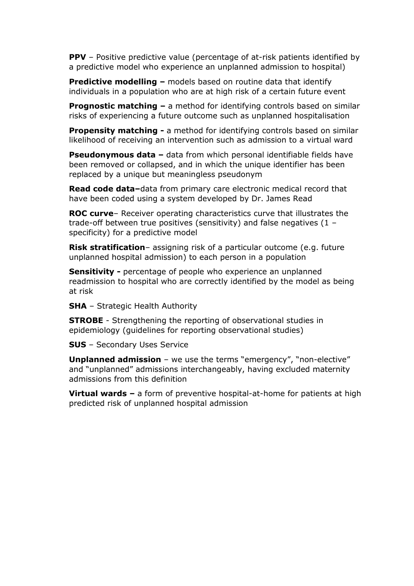**PPV** – Positive predictive value (percentage of at-risk patients identified by a predictive model who experience an unplanned admission to hospital)

**Predictive modelling –** models based on routine data that identify individuals in a population who are at high risk of a certain future event

**Prognostic matching –** a method for identifying controls based on similar risks of experiencing a future outcome such as unplanned hospitalisation

**Propensity matching -** a method for identifying controls based on similar likelihood of receiving an intervention such as admission to a virtual ward

**Pseudonymous data** – data from which personal identifiable fields have been removed or collapsed, and in which the unique identifier has been replaced by a unique but meaningless pseudonym

**Read code data–**data from primary care electronic medical record that have been coded using a system developed by Dr. James Read

**ROC curve**– Receiver operating characteristics curve that illustrates the trade-off between true positives (sensitivity) and false negatives (1 – specificity) for a predictive model

**Risk stratification**– assigning risk of a particular outcome (e.g. future unplanned hospital admission) to each person in a population

**Sensitivity -** percentage of people who experience an unplanned readmission to hospital who are correctly identified by the model as being at risk

**SHA** – Strategic Health Authority

**STROBE** - Strengthening the reporting of observational studies in epidemiology (guidelines for reporting observational studies)

**SUS** – Secondary Uses Service

**Unplanned admission** – we use the terms "emergency", "non-elective" and "unplanned" admissions interchangeably, having excluded maternity admissions from this definition

**Virtual wards –** a form of preventive hospital-at-home for patients at high predicted risk of unplanned hospital admission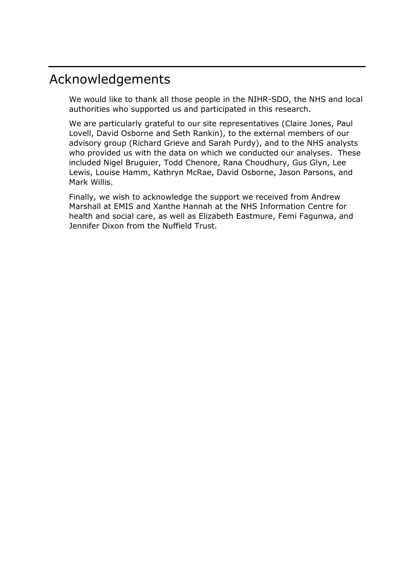# Acknowledgements

We would like to thank all those people in the NIHR-SDO, the NHS and local authorities who supported us and participated in this research.

We are particularly grateful to our site representatives (Claire Jones, Paul Lovell, David Osborne and Seth Rankin), to the external members of our advisory group (Richard Grieve and Sarah Purdy), and to the NHS analysts who provided us with the data on which we conducted our analyses. These included Nigel Bruguier, Todd Chenore, Rana Choudhury, Gus Glyn, Lee Lewis, Louise Hamm, Kathryn McRae, David Osborne, Jason Parsons, and Mark Willis.

Finally, we wish to acknowledge the support we received from Andrew Marshall at EMIS and Xanthe Hannah at the NHS Information Centre for health and social care, as well as Elizabeth Eastmure, Femi Fagunwa, and Jennifer Dixon from the Nuffield Trust.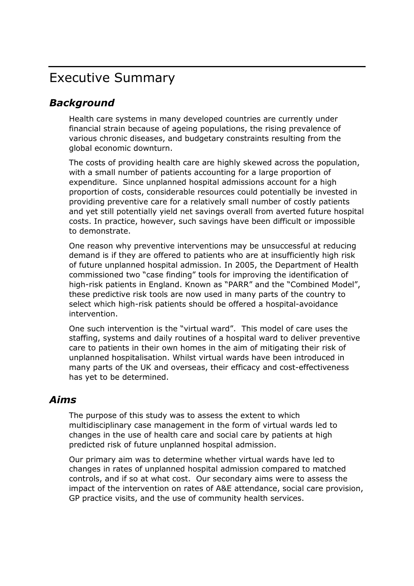# Executive Summary

# *Background*

Health care systems in many developed countries are currently under financial strain because of ageing populations, the rising prevalence of various chronic diseases, and budgetary constraints resulting from the global economic downturn.

The costs of providing health care are highly skewed across the population, with a small number of patients accounting for a large proportion of expenditure. Since unplanned hospital admissions account for a high proportion of costs, considerable resources could potentially be invested in providing preventive care for a relatively small number of costly patients and yet still potentially yield net savings overall from averted future hospital costs. In practice, however, such savings have been difficult or impossible to demonstrate.

One reason why preventive interventions may be unsuccessful at reducing demand is if they are offered to patients who are at insufficiently high risk of future unplanned hospital admission. In 2005, the Department of Health commissioned two "case finding" tools for improving the identification of high-risk patients in England. Known as "PARR" and the "Combined Model", these predictive risk tools are now used in many parts of the country to select which high-risk patients should be offered a hospital-avoidance intervention.

One such intervention is the "virtual ward". This model of care uses the staffing, systems and daily routines of a hospital ward to deliver preventive care to patients in their own homes in the aim of mitigating their risk of unplanned hospitalisation. Whilst virtual wards have been introduced in many parts of the UK and overseas, their efficacy and cost-effectiveness has yet to be determined.

### *Aims*

The purpose of this study was to assess the extent to which multidisciplinary case management in the form of virtual wards led to changes in the use of health care and social care by patients at high predicted risk of future unplanned hospital admission.

Our primary aim was to determine whether virtual wards have led to changes in rates of unplanned hospital admission compared to matched controls, and if so at what cost. Our secondary aims were to assess the impact of the intervention on rates of A&E attendance, social care provision, GP practice visits, and the use of community health services.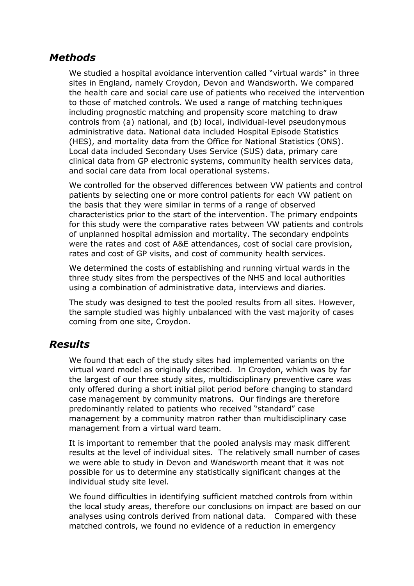## *Methods*

We studied a hospital avoidance intervention called "virtual wards" in three sites in England, namely Croydon, Devon and Wandsworth. We compared the health care and social care use of patients who received the intervention to those of matched controls. We used a range of matching techniques including prognostic matching and propensity score matching to draw controls from (a) national, and (b) local, individual-level pseudonymous administrative data. National data included Hospital Episode Statistics (HES), and mortality data from the Office for National Statistics (ONS). Local data included Secondary Uses Service (SUS) data, primary care clinical data from GP electronic systems, community health services data, and social care data from local operational systems.

We controlled for the observed differences between VW patients and control patients by selecting one or more control patients for each VW patient on the basis that they were similar in terms of a range of observed characteristics prior to the start of the intervention. The primary endpoints for this study were the comparative rates between VW patients and controls of unplanned hospital admission and mortality. The secondary endpoints were the rates and cost of A&E attendances, cost of social care provision, rates and cost of GP visits, and cost of community health services.

We determined the costs of establishing and running virtual wards in the three study sites from the perspectives of the NHS and local authorities using a combination of administrative data, interviews and diaries.

The study was designed to test the pooled results from all sites. However, the sample studied was highly unbalanced with the vast majority of cases coming from one site, Croydon.

### *Results*

We found that each of the study sites had implemented variants on the virtual ward model as originally described. In Croydon, which was by far the largest of our three study sites, multidisciplinary preventive care was only offered during a short initial pilot period before changing to standard case management by community matrons. Our findings are therefore predominantly related to patients who received "standard" case management by a community matron rather than multidisciplinary case management from a virtual ward team.

It is important to remember that the pooled analysis may mask different results at the level of individual sites. The relatively small number of cases we were able to study in Devon and Wandsworth meant that it was not possible for us to determine any statistically significant changes at the individual study site level.

We found difficulties in identifying sufficient matched controls from within the local study areas, therefore our conclusions on impact are based on our analyses using controls derived from national data. Compared with these matched controls, we found no evidence of a reduction in emergency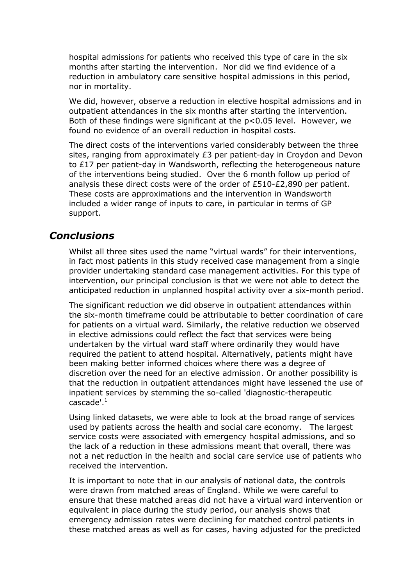hospital admissions for patients who received this type of care in the six months after starting the intervention. Nor did we find evidence of a reduction in ambulatory care sensitive hospital admissions in this period, nor in mortality.

We did, however, observe a reduction in elective hospital admissions and in outpatient attendances in the six months after starting the intervention. Both of these findings were significant at the p<0.05 level. However, we found no evidence of an overall reduction in hospital costs.

The direct costs of the interventions varied considerably between the three sites, ranging from approximately £3 per patient-day in Croydon and Devon to £17 per patient-day in Wandsworth, reflecting the heterogeneous nature of the interventions being studied. Over the 6 month follow up period of analysis these direct costs were of the order of £510-£2,890 per patient. These costs are approximations and the intervention in Wandsworth included a wider range of inputs to care, in particular in terms of GP support.

### *Conclusions*

Whilst all three sites used the name "virtual wards" for their interventions, in fact most patients in this study received case management from a single provider undertaking standard case management activities. For this type of intervention, our principal conclusion is that we were not able to detect the anticipated reduction in unplanned hospital activity over a six-month period.

The significant reduction we did observe in outpatient attendances within the six-month timeframe could be attributable to better coordination of care for patients on a virtual ward. Similarly, the relative reduction we observed in elective admissions could reflect the fact that services were being undertaken by the virtual ward staff where ordinarily they would have required the patient to attend hospital. Alternatively, patients might have been making better informed choices where there was a degree of discretion over the need for an elective admission. Or another possibility is that the reduction in outpatient attendances might have lessened the use of inpatient services by stemming the so-called 'diagnostic-therapeutic cascade'. $^1$ 

Using linked datasets, we were able to look at the broad range of services used by patients across the health and social care economy. The largest service costs were associated with emergency hospital admissions, and so the lack of a reduction in these admissions meant that overall, there was not a net reduction in the health and social care service use of patients who received the intervention.

It is important to note that in our analysis of national data, the controls were drawn from matched areas of England. While we were careful to ensure that these matched areas did not have a virtual ward intervention or equivalent in place during the study period, our analysis shows that emergency admission rates were declining for matched control patients in these matched areas as well as for cases, having adjusted for the predicted